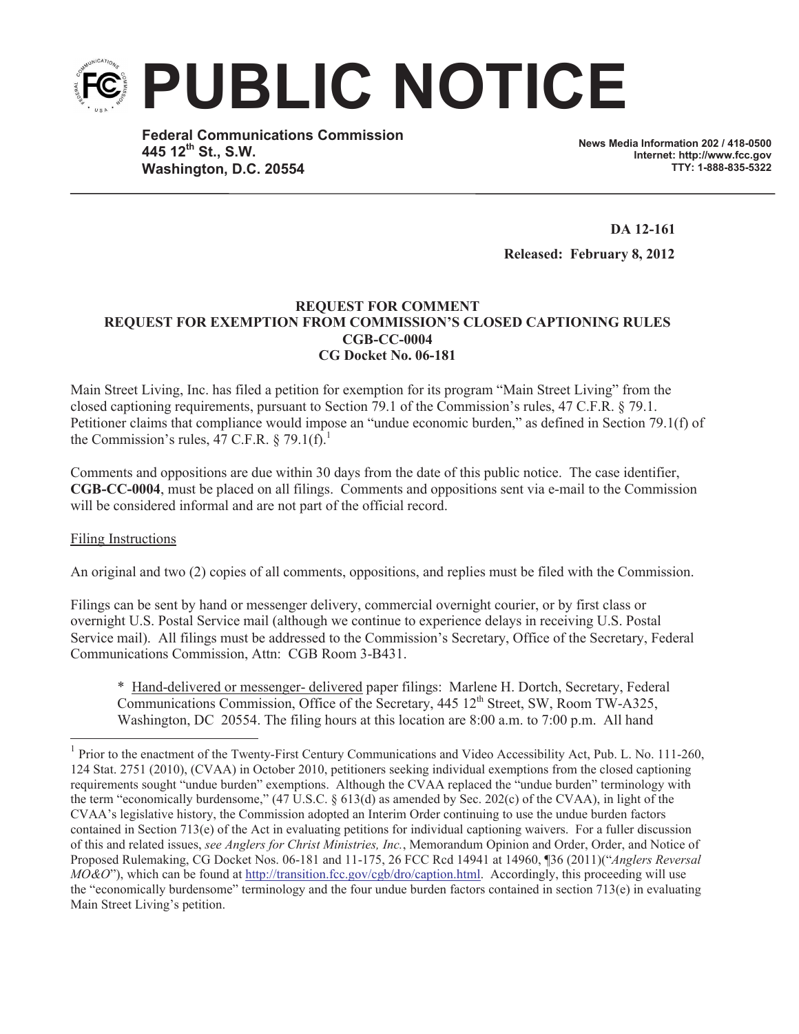

**Federal Communications Commission 445 12th St., S.W. Washington, D.C. 20554**

**News Media Information 202 / 418-0500 Internet: http://www.fcc.gov TTY: 1-888-835-5322**

**DA 12-161 Released: February 8, 2012**

## **REQUEST FOR COMMENT REQUEST FOR EXEMPTION FROM COMMISSION'S CLOSED CAPTIONING RULES CGB-CC-0004 CG Docket No. 06-181**

Main Street Living, Inc. has filed a petition for exemption for its program "Main Street Living" from the closed captioning requirements, pursuant to Section 79.1 of the Commission's rules, 47 C.F.R. § 79.1. Petitioner claims that compliance would impose an "undue economic burden," as defined in Section 79.1(f) of the Commission's rules, 47 C.F.R.  $\S 79.1(f)^1$ .

Comments and oppositions are due within 30 days from the date of this public notice. The case identifier, **CGB-CC-0004**, must be placed on all filings. Comments and oppositions sent via e-mail to the Commission will be considered informal and are not part of the official record.

## Filing Instructions

An original and two (2) copies of all comments, oppositions, and replies must be filed with the Commission.

Filings can be sent by hand or messenger delivery, commercial overnight courier, or by first class or overnight U.S. Postal Service mail (although we continue to experience delays in receiving U.S. Postal Service mail). All filings must be addressed to the Commission's Secretary, Office of the Secretary, Federal Communications Commission, Attn: CGB Room 3-B431.

\* Hand-delivered or messenger- delivered paper filings: Marlene H. Dortch, Secretary, Federal Communications Commission, Office of the Secretary, 445 12<sup>th</sup> Street, SW, Room TW-A325, Washington, DC 20554. The filing hours at this location are 8:00 a.m. to 7:00 p.m. All hand

<sup>&</sup>lt;sup>1</sup> Prior to the enactment of the Twenty-First Century Communications and Video Accessibility Act, Pub. L. No. 111-260, 124 Stat. 2751 (2010), (CVAA) in October 2010, petitioners seeking individual exemptions from the closed captioning requirements sought "undue burden" exemptions. Although the CVAA replaced the "undue burden" terminology with the term "economically burdensome," (47 U.S.C. § 613(d) as amended by Sec. 202(c) of the CVAA), in light of the CVAA's legislative history, the Commission adopted an Interim Order continuing to use the undue burden factors contained in Section 713(e) of the Act in evaluating petitions for individual captioning waivers. For a fuller discussion of this and related issues, *see Anglers for Christ Ministries, Inc.*, Memorandum Opinion and Order, Order, and Notice of Proposed Rulemaking, CG Docket Nos. 06-181 and 11-175, 26 FCC Rcd 14941 at 14960, ¶36 (2011)("*Anglers Reversal MO&O*"), which can be found at http://transition.fcc.gov/cgb/dro/caption.html. Accordingly, this proceeding will use the "economically burdensome" terminology and the four undue burden factors contained in section 713(e) in evaluating Main Street Living's petition.